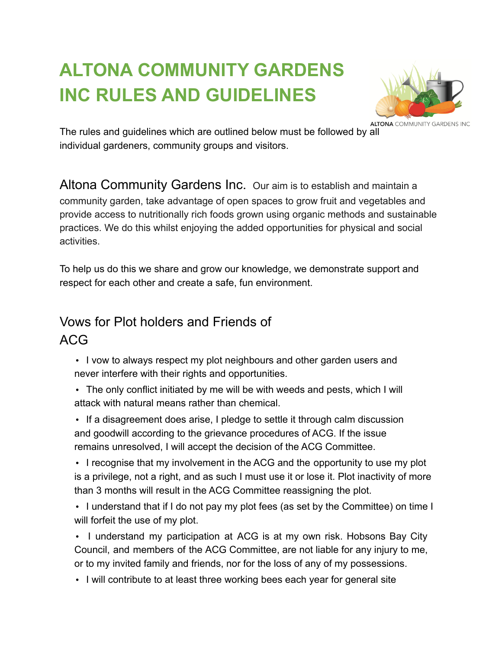# **ALTONA COMMUNITY GARDENS INC RULES AND GUIDELINES**



The rules and guidelines which are outlined below must be followed by all individual gardeners, community groups and visitors.

Altona Community Gardens Inc. Our aim is to establish and maintain a community garden, take advantage of open spaces to grow fruit and vegetables and provide access to nutritionally rich foods grown using organic methods and sustainable practices. We do this whilst enjoying the added opportunities for physical and social activities.

To help us do this we share and grow our knowledge, we demonstrate support and respect for each other and create a safe, fun environment.

## Vows for Plot holders and Friends of ACG

• I vow to always respect my plot neighbours and other garden users and never interfere with their rights and opportunities.

• The only conflict initiated by me will be with weeds and pests, which I will attack with natural means rather than chemical.

• If a disagreement does arise, I pledge to settle it through calm discussion and goodwill according to the grievance procedures of ACG. If the issue remains unresolved, I will accept the decision of the ACG Committee.

• I recognise that my involvement in the ACG and the opportunity to use my plot is a privilege, not a right, and as such I must use it or lose it. Plot inactivity of more than 3 months will result in the ACG Committee reassigning the plot.

• I understand that if I do not pay my plot fees (as set by the Committee) on time I will forfeit the use of my plot.

• I understand my participation at ACG is at my own risk. Hobsons Bay City Council, and members of the ACG Committee, are not liable for any injury to me, or to my invited family and friends, nor for the loss of any of my possessions.

• I will contribute to at least three working bees each year for general site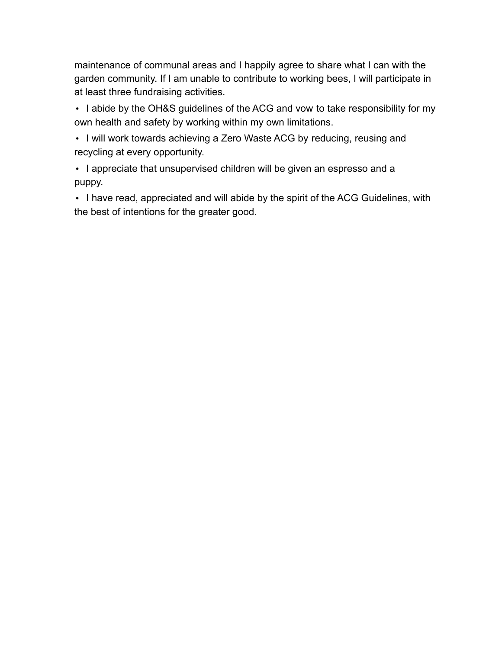maintenance of communal areas and I happily agree to share what I can with the garden community. If I am unable to contribute to working bees, I will participate in at least three fundraising activities.

• I abide by the OH&S guidelines of the ACG and vow to take responsibility for my own health and safety by working within my own limitations.

• I will work towards achieving a Zero Waste ACG by reducing, reusing and recycling at every opportunity.

• I appreciate that unsupervised children will be given an espresso and a puppy.

• I have read, appreciated and will abide by the spirit of the ACG Guidelines, with the best of intentions for the greater good.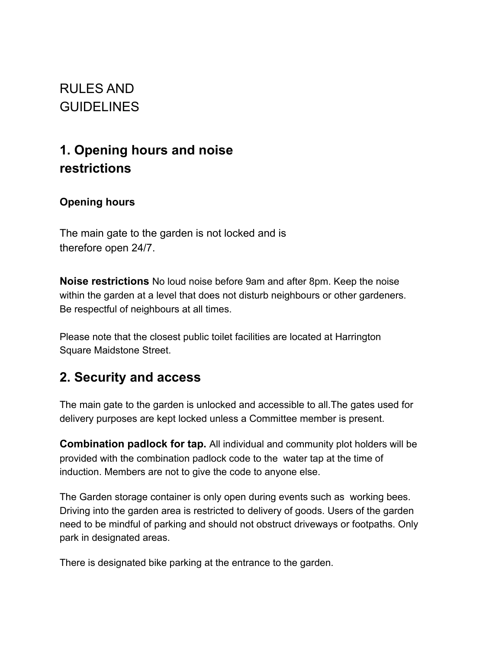RULES AND **GUIDELINES** 

# **1. Opening hours and noise restrictions**

#### **Opening hours**

The main gate to the garden is not locked and is therefore open 24/7.

**Noise restrictions** No loud noise before 9am and after 8pm. Keep the noise within the garden at a level that does not disturb neighbours or other gardeners. Be respectful of neighbours at all times.

Please note that the closest public toilet facilities are located at Harrington Square Maidstone Street.

### **2. Security and access**

The main gate to the garden is unlocked and accessible to all.The gates used for delivery purposes are kept locked unless a Committee member is present.

**Combination padlock for tap.** All individual and community plot holders will be provided with the combination padlock code to the water tap at the time of induction. Members are not to give the code to anyone else.

The Garden storage container is only open during events such as working bees. Driving into the garden area is restricted to delivery of goods. Users of the garden need to be mindful of parking and should not obstruct driveways or footpaths. Only park in designated areas.

There is designated bike parking at the entrance to the garden.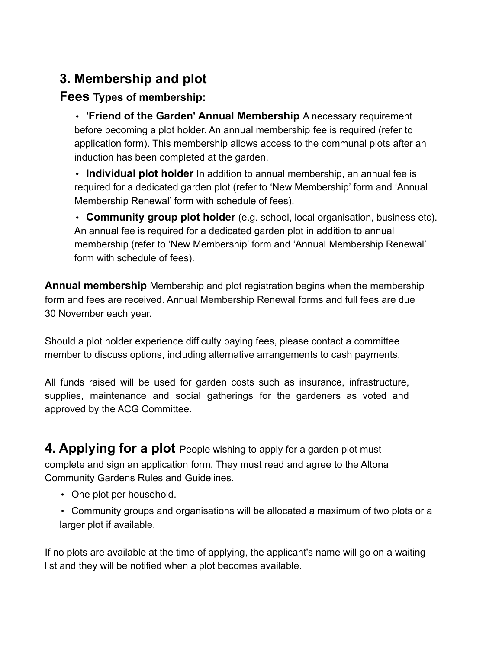## **3. Membership and plot**

#### **Fees Types of membership:**

• **'Friend of the Garden' Annual Membership** A necessary requirement before becoming a plot holder. An annual membership fee is required (refer to application form). This membership allows access to the communal plots after an induction has been completed at the garden.

• **Individual plot holder** In addition to annual membership, an annual fee is required for a dedicated garden plot (refer to 'New Membership' form and 'Annual Membership Renewal' form with schedule of fees).

• **Community group plot holder** (e.g. school, local organisation, business etc). An annual fee is required for a dedicated garden plot in addition to annual membership (refer to 'New Membership' form and 'Annual Membership Renewal' form with schedule of fees).

**Annual membership** Membership and plot registration begins when the membership form and fees are received. Annual Membership Renewal forms and full fees are due 30 November each year.

Should a plot holder experience difficulty paying fees, please contact a committee member to discuss options, including alternative arrangements to cash payments.

All funds raised will be used for garden costs such as insurance, infrastructure, supplies, maintenance and social gatherings for the gardeners as voted and approved by the ACG Committee.

**4. Applying for a plot** People wishing to apply for a garden plot must complete and sign an application form. They must read and agree to the Altona Community Gardens Rules and Guidelines.

- One plot per household.
- Community groups and organisations will be allocated a maximum of two plots or a larger plot if available.

If no plots are available at the time of applying, the applicant's name will go on a waiting list and they will be notified when a plot becomes available.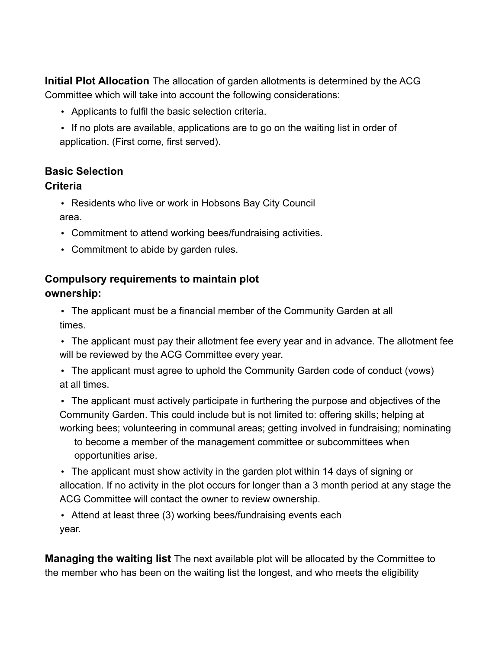**Initial Plot Allocation** The allocation of garden allotments is determined by the ACG Committee which will take into account the following considerations:

- Applicants to fulfil the basic selection criteria.
- If no plots are available, applications are to go on the waiting list in order of application. (First come, first served).

### **Basic Selection**

#### **Criteria**

• Residents who live or work in Hobsons Bay City Council area.

- Commitment to attend working bees/fundraising activities.
- Commitment to abide by garden rules.

#### **Compulsory requirements to maintain plot ownership:**

• The applicant must be a financial member of the Community Garden at all times.

• The applicant must pay their allotment fee every year and in advance. The allotment fee will be reviewed by the ACG Committee every year.

• The applicant must agree to uphold the Community Garden code of conduct (vows) at all times.

• The applicant must actively participate in furthering the purpose and objectives of the Community Garden. This could include but is not limited to: offering skills; helping at working bees; volunteering in communal areas; getting involved in fundraising; nominating

to become a member of the management committee or subcommittees when opportunities arise.

• The applicant must show activity in the garden plot within 14 days of signing or allocation. If no activity in the plot occurs for longer than a 3 month period at any stage the ACG Committee will contact the owner to review ownership.

• Attend at least three (3) working bees/fundraising events each year.

**Managing the waiting list** The next available plot will be allocated by the Committee to the member who has been on the waiting list the longest, and who meets the eligibility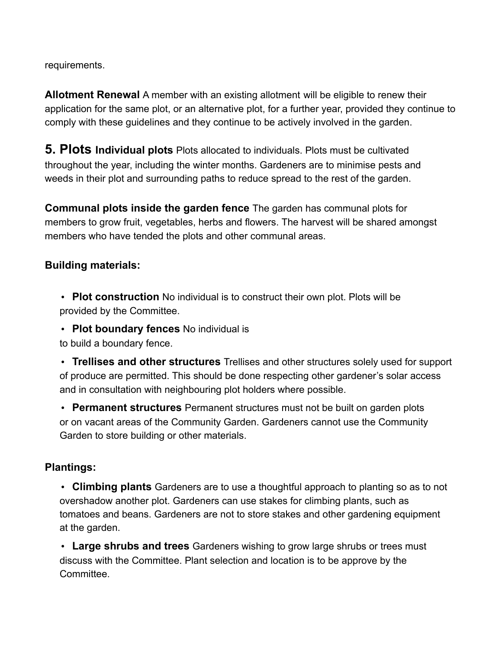requirements.

**Allotment Renewal** A member with an existing allotment will be eligible to renew their application for the same plot, or an alternative plot, for a further year, provided they continue to comply with these guidelines and they continue to be actively involved in the garden.

**5. Plots Individual plots** Plots allocated to individuals. Plots must be cultivated throughout the year, including the winter months. Gardeners are to minimise pests and weeds in their plot and surrounding paths to reduce spread to the rest of the garden.

**Communal plots inside the garden fence** The garden has communal plots for members to grow fruit, vegetables, herbs and flowers. The harvest will be shared amongst members who have tended the plots and other communal areas.

#### **Building materials:**

• **Plot construction** No individual is to construct their own plot. Plots will be provided by the Committee.

• **Plot boundary fences** No individual is

to build a boundary fence.

• **Trellises and other structures** Trellises and other structures solely used for support of produce are permitted. This should be done respecting other gardener's solar access and in consultation with neighbouring plot holders where possible.

• **Permanent structures** Permanent structures must not be built on garden plots or on vacant areas of the Community Garden. Gardeners cannot use the Community Garden to store building or other materials.

#### **Plantings:**

• **Climbing plants** Gardeners are to use a thoughtful approach to planting so as to not overshadow another plot. Gardeners can use stakes for climbing plants, such as tomatoes and beans. Gardeners are not to store stakes and other gardening equipment at the garden.

• **Large shrubs and trees** Gardeners wishing to grow large shrubs or trees must discuss with the Committee. Plant selection and location is to be approve by the **Committee**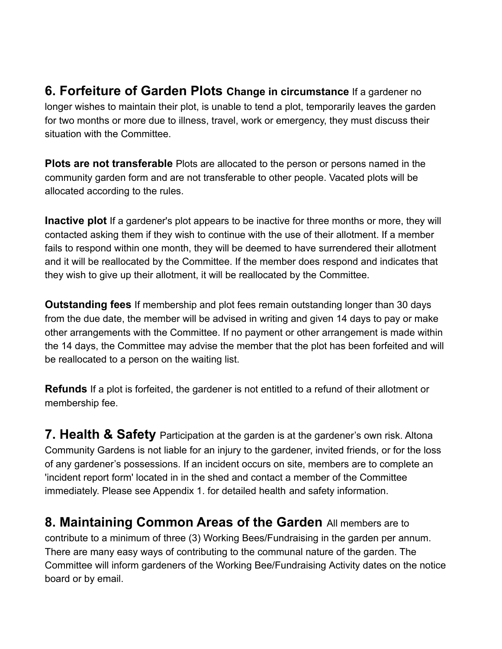**6. Forfeiture of Garden Plots Change in circumstance** If a gardener no longer wishes to maintain their plot, is unable to tend a plot, temporarily leaves the garden for two months or more due to illness, travel, work or emergency, they must discuss their situation with the Committee.

**Plots are not transferable** Plots are allocated to the person or persons named in the community garden form and are not transferable to other people. Vacated plots will be allocated according to the rules.

**Inactive plot** If a gardener's plot appears to be inactive for three months or more, they will contacted asking them if they wish to continue with the use of their allotment. If a member fails to respond within one month, they will be deemed to have surrendered their allotment and it will be reallocated by the Committee. If the member does respond and indicates that they wish to give up their allotment, it will be reallocated by the Committee.

**Outstanding fees** If membership and plot fees remain outstanding longer than 30 days from the due date, the member will be advised in writing and given 14 days to pay or make other arrangements with the Committee. If no payment or other arrangement is made within the 14 days, the Committee may advise the member that the plot has been forfeited and will be reallocated to a person on the waiting list.

**Refunds** If a plot is forfeited, the gardener is not entitled to a refund of their allotment or membership fee.

**7. Health & Safety** Participation at the garden is at the gardener's own risk. Altona Community Gardens is not liable for an injury to the gardener, invited friends, or for the loss of any gardener's possessions. If an incident occurs on site, members are to complete an 'incident report form' located in in the shed and contact a member of the Committee immediately. Please see Appendix 1. for detailed health and safety information.

**8. Maintaining Common Areas of the Garden** All members are to contribute to a minimum of three (3) Working Bees/Fundraising in the garden per annum. There are many easy ways of contributing to the communal nature of the garden. The Committee will inform gardeners of the Working Bee/Fundraising Activity dates on the notice board or by email.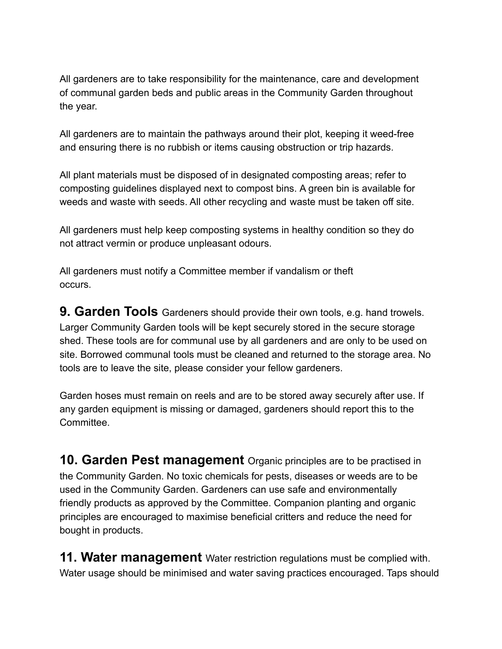All gardeners are to take responsibility for the maintenance, care and development of communal garden beds and public areas in the Community Garden throughout the year.

All gardeners are to maintain the pathways around their plot, keeping it weed-free and ensuring there is no rubbish or items causing obstruction or trip hazards.

All plant materials must be disposed of in designated composting areas; refer to composting guidelines displayed next to compost bins. A green bin is available for weeds and waste with seeds. All other recycling and waste must be taken off site.

All gardeners must help keep composting systems in healthy condition so they do not attract vermin or produce unpleasant odours.

All gardeners must notify a Committee member if vandalism or theft occurs.

**9. Garden Tools** Gardeners should provide their own tools, e.g. hand trowels. Larger Community Garden tools will be kept securely stored in the secure storage shed. These tools are for communal use by all gardeners and are only to be used on site. Borrowed communal tools must be cleaned and returned to the storage area. No tools are to leave the site, please consider your fellow gardeners.

Garden hoses must remain on reels and are to be stored away securely after use. If any garden equipment is missing or damaged, gardeners should report this to the **Committee.** 

**10. Garden Pest management** Organic principles are to be practised in the Community Garden. No toxic chemicals for pests, diseases or weeds are to be used in the Community Garden. Gardeners can use safe and environmentally friendly products as approved by the Committee. Companion planting and organic principles are encouraged to maximise beneficial critters and reduce the need for bought in products.

**11. Water management** Water restriction regulations must be complied with. Water usage should be minimised and water saving practices encouraged. Taps should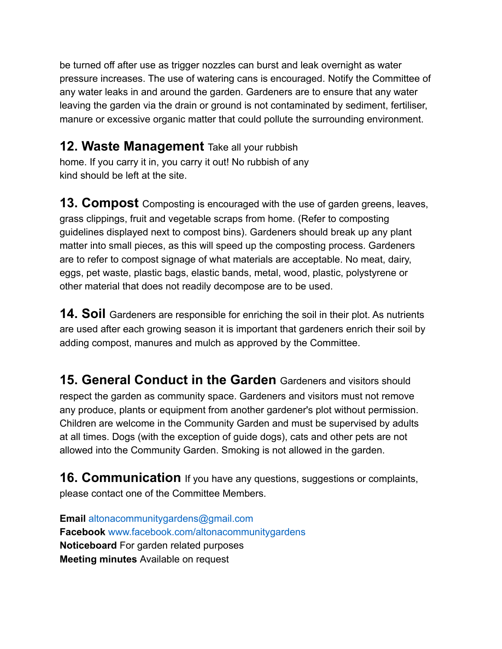be turned off after use as trigger nozzles can burst and leak overnight as water pressure increases. The use of watering cans is encouraged. Notify the Committee of any water leaks in and around the garden. Gardeners are to ensure that any water leaving the garden via the drain or ground is not contaminated by sediment, fertiliser, manure or excessive organic matter that could pollute the surrounding environment.

### **12. Waste Management** Take all your rubbish

home. If you carry it in, you carry it out! No rubbish of any kind should be left at the site.

**13. Compost** Composting is encouraged with the use of garden greens, leaves, grass clippings, fruit and vegetable scraps from home. (Refer to composting guidelines displayed next to compost bins). Gardeners should break up any plant matter into small pieces, as this will speed up the composting process. Gardeners are to refer to compost signage of what materials are acceptable. No meat, dairy, eggs, pet waste, plastic bags, elastic bands, metal, wood, plastic, polystyrene or other material that does not readily decompose are to be used.

**14. Soil** Gardeners are responsible for enriching the soil in their plot. As nutrients are used after each growing season it is important that gardeners enrich their soil by adding compost, manures and mulch as approved by the Committee.

**15. General Conduct in the Garden** Gardeners and visitors should respect the garden as community space. Gardeners and visitors must not remove any produce, plants or equipment from another gardener's plot without permission. Children are welcome in the Community Garden and must be supervised by adults at all times. Dogs (with the exception of guide dogs), cats and other pets are not allowed into the Community Garden. Smoking is not allowed in the garden.

**16. Communication** If you have any questions, suggestions or complaints, please contact one of the Committee Members.

**Email** altonacommunitygardens@gmail.com **Facebook** www.facebook.com/altonacommunitygardens **Noticeboard** For garden related purposes **Meeting minutes** Available on request